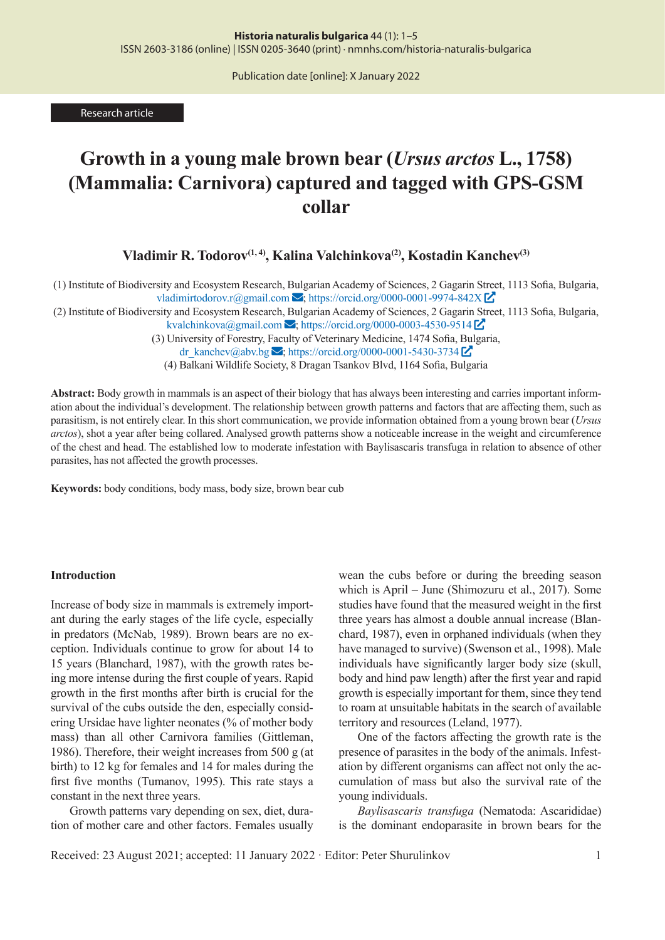Publication date [online]: X January 2022

Research article

# **Growth in a young male brown bear (***Ursus arctos* **L., 1758) (Mammalia: Carnivora) captured and tagged with GPS-GSM collar**

**Vladimir R. Todorov(1, 4), Kalina Valchinkova(2), Kostadin Kanchev(3)**

(1) Institute of Biodiversity and Ecosystem Research, Bulgarian Academy of Sciences, 2 Gagarin Street, 1113 Sofia, Bulgaria, vladimirtodorov.r@gmail.com **✉**; https://orcid.org/0000-0001-9974-842X **�**

(2) Institute of Biodiversity and Ecosystem Research, Bulgarian Academy of Sciences, 2 Gagarin Street, 1113 Sofia, Bulgaria, kvalchinkova@gmail.com  $\blacktriangleright$ ; https://orcid.org/0000-0003-4530-9514  $\blacktriangleright$ 

(3) University of Forestry, Faculty of Veterinary Medicine, 1474 Sofia, Bulgaria,

dr\_kanchev@abv.bg **✉**; https://orcid.org/0000-0001-5430-3734 **�**

(4) Balkani Wildlife Society, 8 Dragan Tsankov Blvd, 1164 Sofia, Bulgaria

**Abstract:** Body growth in mammals is an aspect of their biology that has always been interesting and carries important information about the individual's development. The relationship between growth patterns and factors that are affecting them, such as parasitism, is not entirely clear. In this short communication, we provide information obtained from a young brown bear (*Ursus arctos*), shot a year after being collared. Analysed growth patterns show a noticeable increase in the weight and circumference of the chest and head. The established low to moderate infestation with Baylisascaris transfuga in relation to absence of other parasites, has not affected the growth processes.

**Keywords:** body conditions, body mass, body size, brown bear cub

#### **Introduction**

Increase of body size in mammals is extremely important during the early stages of the life cycle, especially in predators (McNab, 1989). Brown bears are no exception. Individuals continue to grow for about 14 to 15 years (Blanchard, 1987), with the growth rates being more intense during the first couple of years. Rapid growth in the first months after birth is crucial for the survival of the cubs outside the den, especially considering Ursidae have lighter neonates (% of mother body mass) than all other Carnivora families (Gittleman, 1986). Therefore, their weight increases from 500 g (at birth) to 12 kg for females and 14 for males during the first five months (Tumanov, 1995). This rate stays a constant in the next three years.

Growth patterns vary depending on sex, diet, duration of mother care and other factors. Females usually

wean the cubs before or during the breeding season which is April – June (Shimozuru et al., 2017). Some studies have found that the measured weight in the first three years has almost a double annual increase (Blanchard, 1987), even in orphaned individuals (when they have managed to survive) (Swenson et al., 1998). Male individuals have significantly larger body size (skull, body and hind paw length) after the first year and rapid growth is especially important for them, since they tend to roam at unsuitable habitats in the search of available territory and resources (Leland, 1977).

One of the factors affecting the growth rate is the presence of parasites in the body of the animals. Infestation by different organisms can affect not only the accumulation of mass but also the survival rate of the young individuals.

*Baylisascaris transfuga* (Nematoda: Ascarididae) is the dominant endoparasite in brown bears for the

Received: 23 August 2021; accepted: 11 January 2022 · Editor: Peter Shurulinkov 1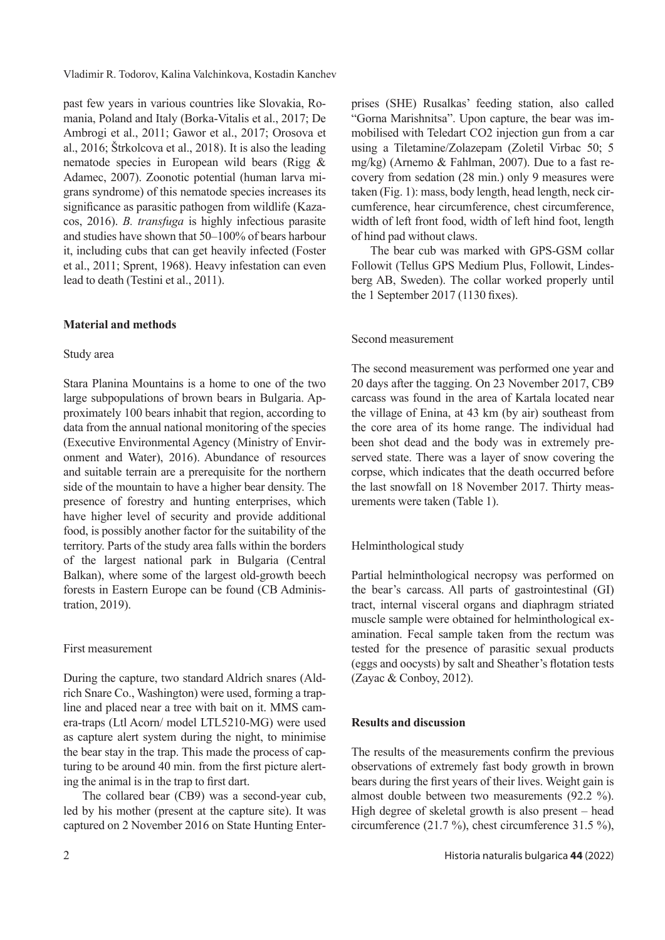Vladimir R. Todorov, Kalina Valchinkova, Kostadin Kanchev

past few years in various countries like Slovakia, Romania, Poland and Italy (Borka-Vitalis et al., 2017; De Ambrogi et al., 2011; Gawor et al., 2017; Orosova et al., 2016; Štrkolcova et al., 2018). It is also the leading nematode species in European wild bears (Rigg & Adamec, 2007). Zoonotic potential (human larva migrans syndrome) of this nematode species increases its significance as parasitic pathogen from wildlife (Kazacos, 2016). *B. transfuga* is highly infectious parasite and studies have shown that 50–100% of bears harbour it, including cubs that can get heavily infected (Foster et al., 2011; Sprent, 1968). Heavy infestation can even lead to death (Testini et al., 2011).

## **Material and methods**

## Study area

Stara Planina Mountains is a home to one of the two large subpopulations of brown bears in Bulgaria. Approximately 100 bears inhabit that region, according to data from the annual national monitoring of the species (Executive Environmental Agency (Ministry of Environment and Water), 2016). Abundance of resources and suitable terrain are a prerequisite for the northern side of the mountain to have a higher bear density. The presence of forestry and hunting enterprises, which have higher level of security and provide additional food, is possibly another factor for the suitability of the territory. Parts of the study area falls within the borders of the largest national park in Bulgaria (Central Balkan), where some of the largest old-growth beech forests in Eastern Europe can be found (CB Administration, 2019).

## First measurement

During the capture, two standard Aldrich snares (Aldrich Snare Co., Washington) were used, forming a trapline and placed near a tree with bait on it. MMS camera-traps (Ltl Acorn/ model LTL5210-MG) were used as capture alert system during the night, to minimise the bear stay in the trap. This made the process of capturing to be around 40 min. from the first picture alerting the animal is in the trap to first dart.

The collared bear (CB9) was a second-year cub, led by his mother (present at the capture site). It was captured on 2 November 2016 on State Hunting Enterprises (SHE) Rusalkas' feeding station, also called "Gorna Marishnitsa". Upon capture, the bear was immobilised with Teledart CO2 injection gun from a car using a Tiletamine/Zolazepam (Zoletil Virbac 50; 5 mg/kg) (Arnemo & Fahlman, 2007). Due to a fast recovery from sedation (28 min.) only 9 measures were taken (Fig. 1): mass, body length, head length, neck circumference, hear circumference, chest circumference, width of left front food, width of left hind foot, length of hind pad without claws.

The bear cub was marked with GPS-GSM collar Followit (Tellus GPS Medium Plus, Followit, Lindesberg AB, Sweden). The collar worked properly until the 1 September 2017 (1130 fixes).

### Second measurement

The second measurement was performed one year and 20 days after the tagging. On 23 November 2017, CB9 carcass was found in the area of Kartala located near the village of Enina, at 43 km (by air) southeast from the core area of its home range. The individual had been shot dead and the body was in extremely preserved state. There was a layer of snow covering the corpse, which indicates that the death occurred before the last snowfall on 18 November 2017. Thirty measurements were taken (Table 1).

## Helminthological study

Partial helminthological necropsy was performed on the bear's carcass. All parts of gastrointestinal (GI) tract, internal visceral organs and diaphragm striated muscle sample were obtained for helminthological examination. Fecal sample taken from the rectum was tested for the presence of parasitic sexual products (eggs and oocysts) by salt and Sheather's flotation tests (Zayac & Conboy, 2012).

## **Results and discussion**

The results of the measurements confirm the previous observations of extremely fast body growth in brown bears during the first years of their lives. Weight gain is almost double between two measurements (92.2 %). High degree of skeletal growth is also present – head circumference (21.7 %), chest circumference 31.5 %),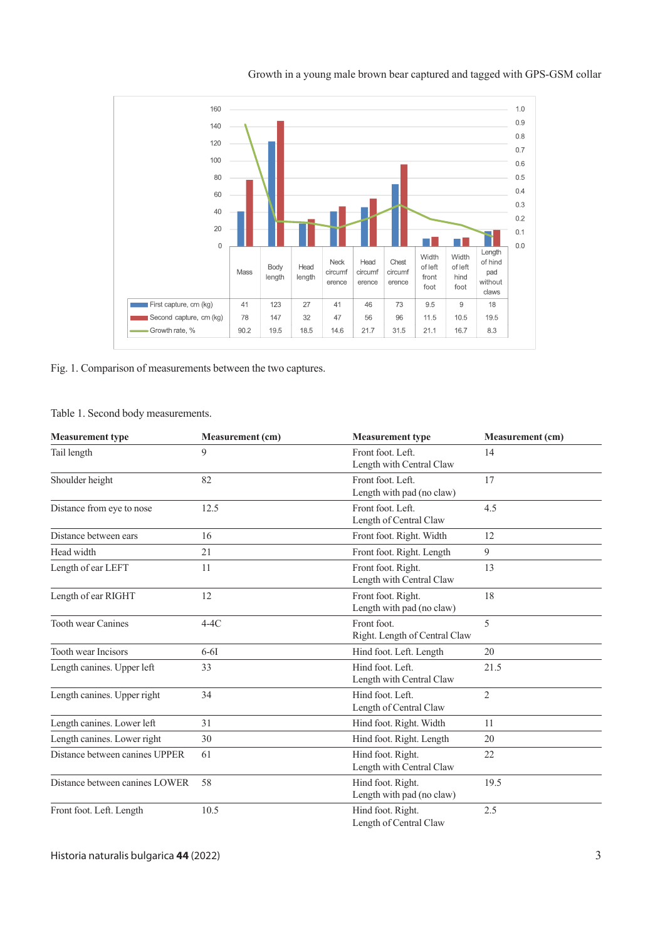

Growth in a young male brown bear captured and tagged with GPS-GSM collar

Fig. 1. Comparison of measurements between the two captures.

Table 1. Second body measurements.

| <b>Measurement type</b>        | <b>Measurement</b> (cm) | <b>Measurement type</b>                         | <b>Measurement</b> (cm) |
|--------------------------------|-------------------------|-------------------------------------------------|-------------------------|
| Tail length                    | 9                       | Front foot. Left.<br>Length with Central Claw   | 14                      |
| Shoulder height                | 82                      | Front foot. Left.<br>Length with pad (no claw)  | 17                      |
| Distance from eye to nose      | 12.5                    | Front foot. Left.<br>Length of Central Claw     | 4.5                     |
| Distance between ears          | 16                      | Front foot. Right. Width                        | 12                      |
| Head width                     | 21                      | Front foot. Right. Length                       | 9                       |
| Length of ear LEFT             | 11                      | Front foot. Right.<br>Length with Central Claw  | 13                      |
| Length of ear RIGHT            | 12                      | Front foot. Right.<br>Length with pad (no claw) | 18                      |
| <b>Tooth wear Canines</b>      | $4-4C$                  | Front foot.<br>Right. Length of Central Claw    | 5                       |
| <b>Tooth wear Incisors</b>     | $6-6I$                  | Hind foot. Left. Length                         | 20                      |
| Length canines. Upper left     | 33                      | Hind foot. Left.<br>Length with Central Claw    | 21.5                    |
| Length canines. Upper right    | 34                      | Hind foot. Left.<br>Length of Central Claw      | $\overline{2}$          |
| Length canines. Lower left     | 31                      | Hind foot. Right. Width                         | 11                      |
| Length canines. Lower right    | 30                      | Hind foot. Right. Length                        | 20                      |
| Distance between canines UPPER | 61                      | Hind foot. Right.<br>Length with Central Claw   | 22                      |
| Distance between canines LOWER | 58                      | Hind foot. Right.<br>Length with pad (no claw)  | 19.5                    |
| Front foot. Left. Length       | 10.5                    | Hind foot. Right.<br>Length of Central Claw     | 2.5                     |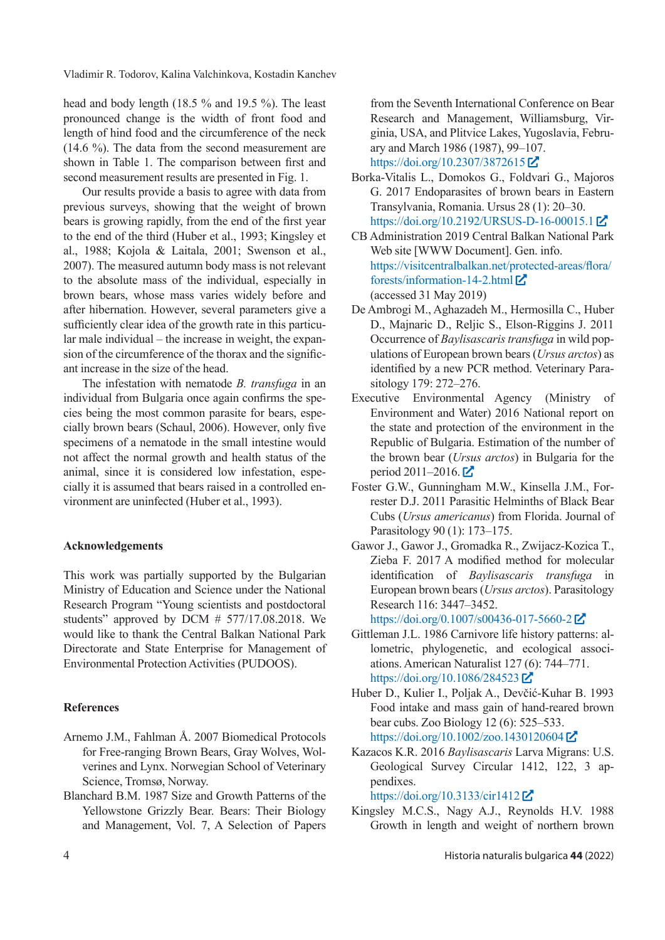Vladimir R. Todorov, Kalina Valchinkova, Kostadin Kanchev

head and body length (18.5 % and 19.5 %). The least pronounced change is the width of front food and length of hind food and the circumference of the neck (14.6 %). The data from the second measurement are shown in Table 1. The comparison between first and second measurement results are presented in Fig. 1.

Our results provide a basis to agree with data from previous surveys, showing that the weight of brown bears is growing rapidly, from the end of the first year to the end of the third (Huber et al., 1993; Kingsley et al., 1988; Kojola & Laitala, 2001; Swenson et al., 2007). The measured autumn body mass is not relevant to the absolute mass of the individual, especially in brown bears, whose mass varies widely before and after hibernation. However, several parameters give a sufficiently clear idea of the growth rate in this particular male individual – the increase in weight, the expansion of the circumference of the thorax and the significant increase in the size of the head.

The infestation with nematode *B. transfuga* in an individual from Bulgaria once again confirms the species being the most common parasite for bears, especially brown bears (Schaul, 2006). However, only five specimens of a nematode in the small intestine would not affect the normal growth and health status of the animal, since it is considered low infestation, especially it is assumed that bears raised in a controlled environment are uninfected (Huber et al., 1993).

## **Acknowledgements**

This work was partially supported by the Bulgarian Ministry of Education and Science under the National Research Program "Young scientists and postdoctoral students" approved by DCM # 577/17.08.2018. We would like to thank the Central Balkan National Park Directorate and State Enterprise for Management of Environmental Protection Activities (PUDOOS).

## **References**

- Arnemo J.M., Fahlman Å. 2007 Biomedical Protocols for Free-ranging Brown Bears, Gray Wolves, Wolverines and Lynx. Norwegian School of Veterinary Science, Tromsø, Norway.
- Blanchard B.M. 1987 Size and Growth Patterns of the Yellowstone Grizzly Bear. Bears: Their Biology and Management, Vol. 7, A Selection of Papers

from the Seventh International Conference on Bear Research and Management, Williamsburg, Virginia, USA, and Plitvice Lakes, Yugoslavia, February and March 1986 (1987), 99–107. https://doi.org/10.2307/3872615 **�**

- Borka-Vitalis L., Domokos G., Foldvari G., Majoros G. 2017 Endoparasites of brown bears in Eastern Transylvania, Romania. Ursus 28 (1): 20–30. https://doi.org/10.2192/URSUS-D-16-00015.1 **�**
- CB Administration 2019 Central Balkan National Park Web site [WWW Document]. Gen. info. https://visitcentralbalkan.net/protected-areas/flora/ forests/information-14-2.html **�** (accessed 31 May 2019)
- De Ambrogi M., Aghazadeh M., Hermosilla C., Huber D., Majnaric D., Reljic S., Elson-Riggins J. 2011 Occurrence of *Baylisascaris transfuga* in wild populations of European brown bears (*Ursus arctos*) as identified by a new PCR method. Veterinary Parasitology 179: 272–276.
- Executive Environmental Agency (Ministry of Environment and Water) 2016 National report on the state and protection of the environment in the Republic of Bulgaria. Estimation of the number of the brown bear (*Ursus arctos*) in Bulgaria for the period 2011–2016. **�**
- Foster G.W., Gunningham M.W., Kinsella J.M., Forrester D.J. 2011 Parasitic Helminths of Black Bear Cubs (*Ursus americanus*) from Florida. Journal of Parasitology 90 (1): 173–175.
- Gawor J., Gawor J., Gromadka R., Zwijacz-Kozica T., Zieba F. 2017 A modified method for molecular identification of *Baylisascaris transfuga* in European brown bears (*Ursus arctos*). Parasitology Research 116: 3447–3452.

https://doi.org/0.1007/s00436-017-5660-2 **�**

- Gittleman J.L. 1986 Carnivore life history patterns: allometric, phylogenetic, and ecological associations. American Naturalist 127 (6): 744–771. https://doi.org/10.1086/284523 **�**
- Huber D., Kulier I., Poljak A., Devčić-Kuhar B. 1993 Food intake and mass gain of hand-reared brown bear cubs. Zoo Biology 12 (6): 525–533. https://doi.org/10.1002/zoo.1430120604 **�**
- Kazacos K.R. 2016 *Baylisascaris* Larva Migrans: U.S. Geological Survey Circular 1412, 122, 3 appendixes.

https://doi.org/10.3133/cir1412 **�**

Kingsley M.C.S., Nagy A.J., Reynolds H.V. 1988 Growth in length and weight of northern brown

4 Historia naturalis bulgarica **44** (2022)